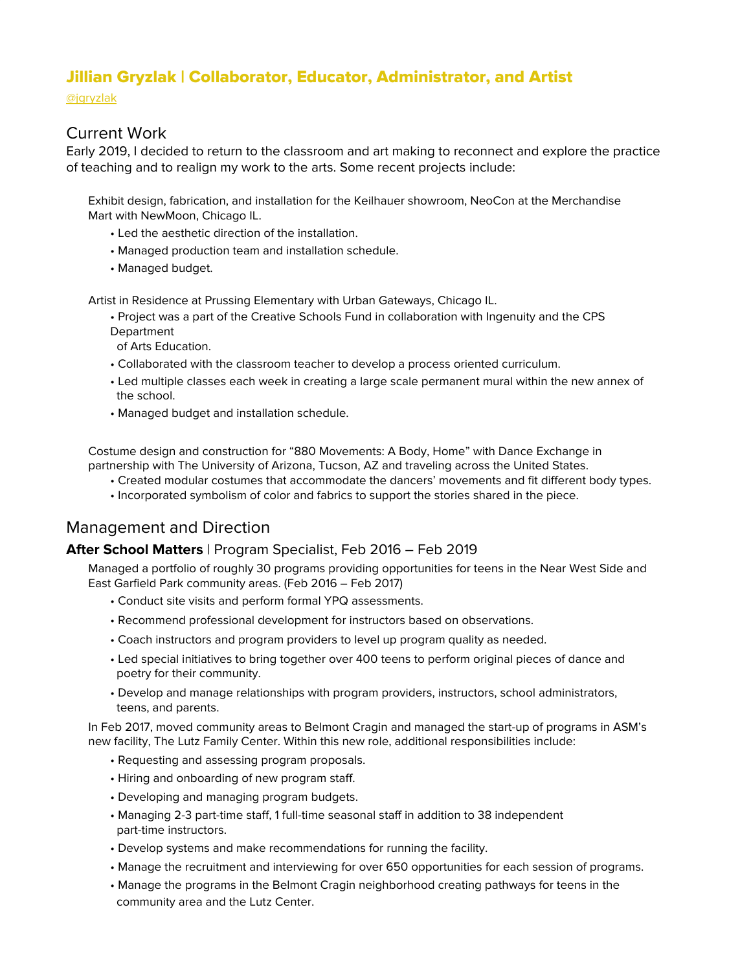# Jillian Gryzlak | Collaborator, Educator, Administrator, and Artist

[@jgryzlak](https://www.instagram.com/jgryzlak)

## Current Work

Early 2019, I decided to return to the classroom and art making to reconnect and explore the practice of teaching and to realign my work to the arts. Some recent projects include:

Exhibit design, fabrication, and installation for the Keilhauer showroom, NeoCon at the Merchandise Mart with NewMoon, Chicago IL.

- Led the aesthetic direction of the installation.
- Managed production team and installation schedule.
- Managed budget.

Artist in Residence at Prussing Elementary with Urban Gateways, Chicago IL.

• Project was a part of the Creative Schools Fund in collaboration with Ingenuity and the CPS **Department** 

of Arts Education.

- Collaborated with the classroom teacher to develop a process oriented curriculum.
- Led multiple classes each week in creating a large scale permanent mural within the new annex of the school.
- Managed budget and installation schedule.

Costume design and construction for "880 Movements: A Body, Home" with Dance Exchange in partnership with The University of Arizona, Tucson, AZ and traveling across the United States.

- Created modular costumes that accommodate the dancers' movements and fit different body types.
- Incorporated symbolism of color and fabrics to support the stories shared in the piece.

## Management and Direction

### **After School Matters** | Program Specialist, Feb 2016 – Feb 2019

Managed a portfolio of roughly 30 programs providing opportunities for teens in the Near West Side and East Garfield Park community areas. (Feb 2016 – Feb 2017)

- Conduct site visits and perform formal YPQ assessments.
- Recommend professional development for instructors based on observations.
- Coach instructors and program providers to level up program quality as needed.
- Led special initiatives to bring together over 400 teens to perform original pieces of dance and poetry for their community.
- Develop and manage relationships with program providers, instructors, school administrators, teens, and parents.

In Feb 2017, moved community areas to Belmont Cragin and managed the start-up of programs in ASM's new facility, The Lutz Family Center. Within this new role, additional responsibilities include:

- Requesting and assessing program proposals.
- Hiring and onboarding of new program staff.
- Developing and managing program budgets.
- Managing 2-3 part-time staff, 1 full-time seasonal staff in addition to 38 independent part-time instructors.
- Develop systems and make recommendations for running the facility.
- Manage the recruitment and interviewing for over 650 opportunities for each session of programs.
- Manage the programs in the Belmont Cragin neighborhood creating pathways for teens in the community area and the Lutz Center.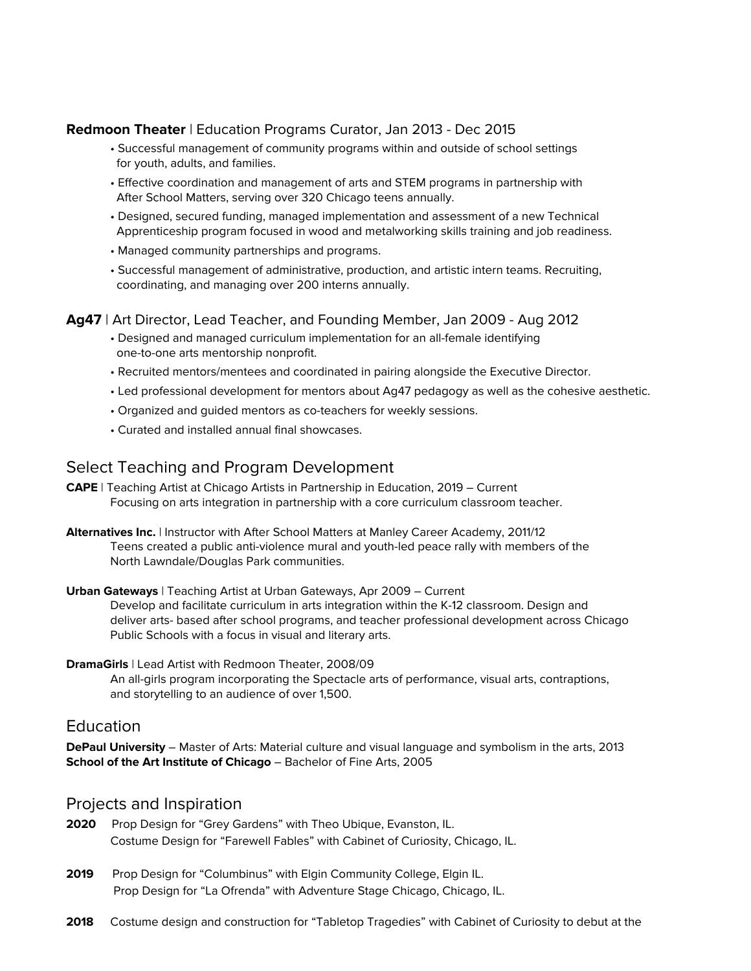#### **Redmoon Theater** | Education Programs Curator, Jan 2013 - Dec 2015

- Successful management of community programs within and outside of school settings for youth, adults, and families.
- Effective coordination and management of arts and STEM programs in partnership with After School Matters, serving over 320 Chicago teens annually.
- Designed, secured funding, managed implementation and assessment of a new Technical Apprenticeship program focused in wood and metalworking skills training and job readiness.
- Managed community partnerships and programs.
- Successful management of administrative, production, and artistic intern teams. Recruiting, coordinating, and managing over 200 interns annually.

#### **Ag47** | Art Director, Lead Teacher, and Founding Member, Jan 2009 - Aug 2012

- Designed and managed curriculum implementation for an all-female identifying one-to-one arts mentorship nonprofit.
- Recruited mentors/mentees and coordinated in pairing alongside the Executive Director.
- Led professional development for mentors about Ag47 pedagogy as well as the cohesive aesthetic.
- Organized and guided mentors as co-teachers for weekly sessions.
- Curated and installed annual final showcases.

## Select Teaching and Program Development

- **CAPE** | Teaching Artist at Chicago Artists in Partnership in Education, 2019 Current Focusing on arts integration in partnership with a core curriculum classroom teacher.
- **Alternatives Inc.** | Instructor with After School Matters at Manley Career Academy, 2011/12 Teens created a public anti-violence mural and youth-led peace rally with members of the North Lawndale/Douglas Park communities.

#### **Urban Gateways** | Teaching Artist at Urban Gateways, Apr 2009 – Current Develop and facilitate curriculum in arts integration within the K-12 classroom. Design and

deliver arts- based after school programs, and teacher professional development across Chicago Public Schools with a focus in visual and literary arts.

#### **DramaGirls** | Lead Artist with Redmoon Theater, 2008/09

An all-girls program incorporating the Spectacle arts of performance, visual arts, contraptions, and storytelling to an audience of over 1,500.

### Education

**DePaul University** – Master of Arts: Material culture and visual language and symbolism in the arts, 2013 **School of the Art Institute of Chicago** – Bachelor of Fine Arts, 2005

### Projects and Inspiration

- **2020** Prop Design for "Grey Gardens" with Theo Ubique, Evanston, IL. Costume Design for "Farewell Fables" with Cabinet of Curiosity, Chicago, IL.
- 2019 Prop Design for "Columbinus" with Elgin Community College, Elgin IL. Prop Design for "La Ofrenda" with Adventure Stage Chicago, Chicago, IL.
- **2018** Costume design and construction for "Tabletop Tragedies" with Cabinet of Curiosity to debut at the